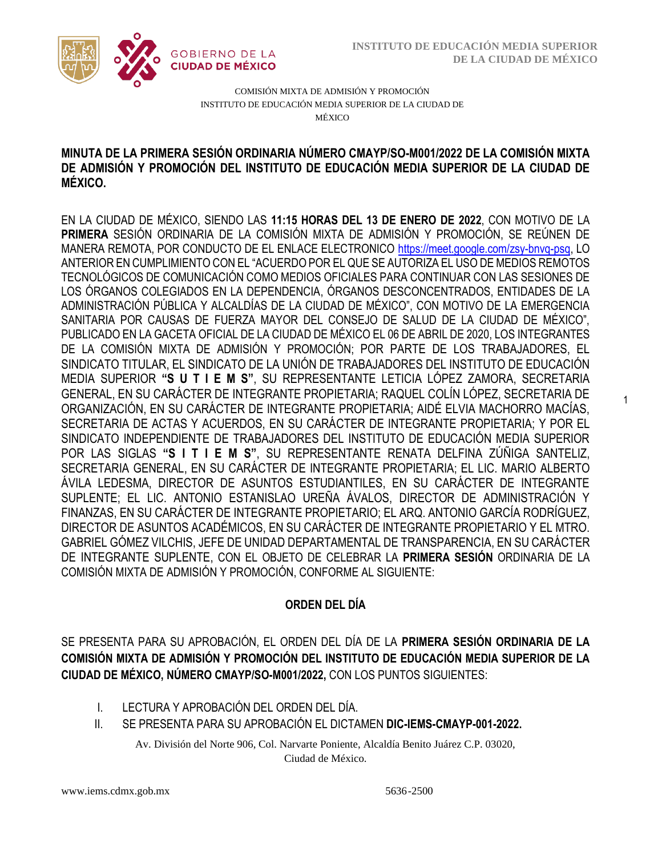1



COMISIÓN MIXTA DE ADMISIÓN Y PROMOCIÓN INSTITUTO DE EDUCACIÓN MEDIA SUPERIOR DE LA CIUDAD DE MÉXICO

### DE ADMISIÓN Y PROMOCIÓN DEL INSTITUTO DE EDUCACIÓN MEDIA SUPERIOR DE LA CIUDAD DE **MINUTA DE LA PRIMERA SESIÓN ORDINARIA NÚMERO CMAYP/SO-M001/2022 DE LA COMISIÓN MIXTA MÉXICO.**

EN LA CIUDAD DE MÉXICO, SIENDO LAS **11:15 HORAS DEL 13 DE ENERO DE 2022**, CON MOTIVO DE LA **PRIMERA** SESIÓN ORDINARIA DE LA COMISIÓN MIXTA DE ADMISIÓN Y PROMOCIÓN, SE REÚNEN DE MANERA REMOTA, POR CONDUCTO DE EL ENLACE ELECTRONICO [https://meet.google.com/z](https://meet.google.com/)sy-bnvq-psq, LO ANTERIOR EN CUMPLIMIENTO CON EL "ACUERDO POR EL QUE SE AUTORIZA EL USO DE MEDIOS REMOTOS TECNOLÓGICOS DE COMUNICACIÓN COMO MEDIOS OFICIALES PARA CONTINUAR CON LAS SESIONES DE LOS ÓRGANOS COLEGIADOS EN LA DEPENDENCIA, ÓRGANOS DESCONCENTRADOS, ENTIDADES DE LA ADMINISTRACIÓN PÚBLICA Y ALCALDÍAS DE LA CIUDAD DE MÉXICO", CON MOTIVO DE LA EMERGENCIA SANITARIA POR CAUSAS DE FUERZA MAYOR DEL CONSEJO DE SALUD DE LA CIUDAD DE MÉXICO", PUBLICADO EN LA GACETA OFICIAL DE LA CIUDAD DE MÉXICO EL 06 DE ABRIL DE 2020, LOS INTEGRANTES DE LA COMISIÓN MIXTA DE ADMISIÓN Y PROMOCIÓN; POR PARTE DE LOS TRABAJADORES, EL SINDICATO TITULAR, EL SINDICATO DE LA UNIÓN DE TRABAJADORES DEL INSTITUTO DE EDUCACIÓN MEDIA SUPERIOR **"S U T I E M S"**, SU REPRESENTANTE LETICIA LÓPEZ ZAMORA, SECRETARIA GENERAL, EN SU CARÁCTER DE INTEGRANTE PROPIETARIA; RAQUEL COLÍN LÓPEZ, SECRETARIA DE ORGANIZACIÓN, EN SU CARÁCTER DE INTEGRANTE PROPIETARIA; AIDÉ ELVIA MACHORRO MACÍAS, SECRETARIA DE ACTAS Y ACUERDOS, EN SU CARÁCTER DE INTEGRANTE PROPIETARIA; Y POR EL SINDICATO INDEPENDIENTE DE TRABAJADORES DEL INSTITUTO DE EDUCACIÓN MEDIA SUPERIOR POR LAS SIGLAS **"S I T I E M S"**, SU REPRESENTANTE RENATA DELFINA ZÚÑIGA SANTELIZ, SECRETARIA GENERAL, EN SU CARÁCTER DE INTEGRANTE PROPIETARIA; EL LIC. MARIO ALBERTO ÁVILA LEDESMA, DIRECTOR DE ASUNTOS ESTUDIANTILES, EN SU CARÁCTER DE INTEGRANTE SUPLENTE; EL LIC. ANTONIO ESTANISLAO UREÑA ÁVALOS, DIRECTOR DE ADMINISTRACIÓN Y FINANZAS, EN SU CARÁCTER DE INTEGRANTE PROPIETARIO; EL ARQ. ANTONIO GARCÍA RODRÍGUEZ, DIRECTOR DE ASUNTOS ACADÉMICOS, EN SU CARÁCTER DE INTEGRANTE PROPIETARIO Y EL MTRO. GABRIEL GÓMEZ VILCHIS, JEFE DE UNIDAD DEPARTAMENTAL DE TRANSPARENCIA, EN SU CARÁCTER DE INTEGRANTE SUPLENTE, CON EL OBJETO DE CELEBRAR LA **PRIMERA SESIÓN** ORDINARIA DE LA COMISIÓN MIXTA DE ADMISIÓN Y PROMOCIÓN, CONFORME AL SIGUIENTE:

## **ORDEN DEL DÍA**

SE PRESENTA PARA SU APROBACIÓN, EL ORDEN DEL DÍA DE LA **PRIMERA SESIÓN ORDINARIA DE LA COMISIÓN MIXTA DE ADMISIÓN Y PROMOCIÓN DEL INSTITUTO DE EDUCACIÓN MEDIA SUPERIOR DE LA CIUDAD DE MÉXICO, NÚMERO CMAYP/SO-M001/2022,** CON LOS PUNTOS SIGUIENTES:

- I. LECTURA Y APROBACIÓN DEL ORDEN DEL DÍA.
- II. SE PRESENTA PARA SU APROBACIÓN EL DICTAMEN **DIC-IEMS-CMAYP-001-2022.**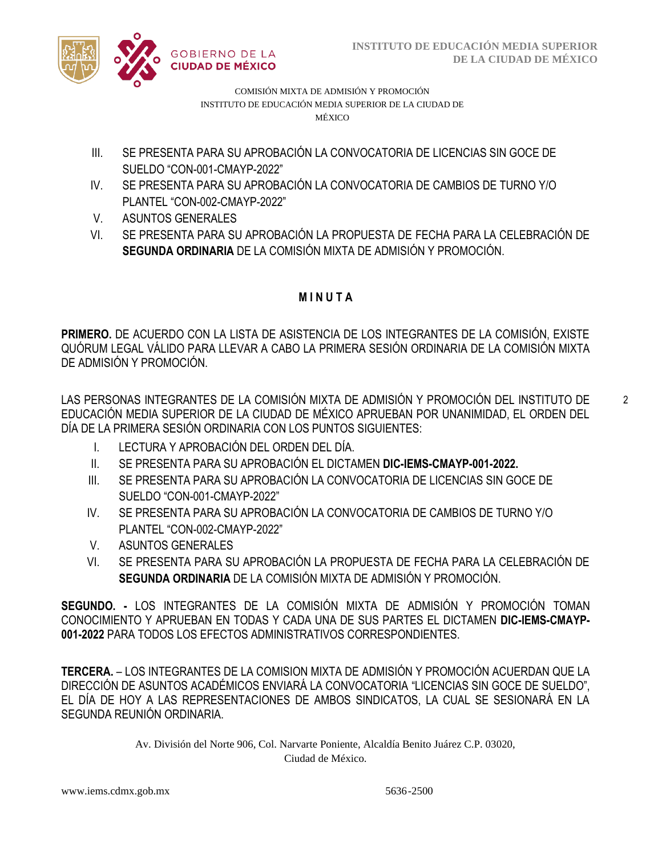

- III. SE PRESENTA PARA SU APROBACIÓN LA CONVOCATORIA DE LICENCIAS SIN GOCE DE SUELDO "CON-001-CMAYP-2022"
- IV. SE PRESENTA PARA SU APROBACIÓN LA CONVOCATORIA DE CAMBIOS DE TURNO Y/O PLANTEL "CON-002-CMAYP-2022"
- V. ASUNTOS GENERALES
- VI. SE PRESENTA PARA SU APROBACIÓN LA PROPUESTA DE FECHA PARA LA CELEBRACIÓN DE **SEGUNDA ORDINARIA** DE LA COMISIÓN MIXTA DE ADMISIÓN Y PROMOCIÓN.

# **M I N U T A**

**PRIMERO.** DE ACUERDO CON LA LISTA DE ASISTENCIA DE LOS INTEGRANTES DE LA COMISIÓN, EXISTE QUÓRUM LEGAL VÁLIDO PARA LLEVAR A CABO LA PRIMERA SESIÓN ORDINARIA DE LA COMISIÓN MIXTA DE ADMISIÓN Y PROMOCIÓN.

LAS PERSONAS INTEGRANTES DE LA COMISIÓN MIXTA DE ADMISIÓN Y PROMOCIÓN DEL INSTITUTO DE EDUCACIÓN MEDIA SUPERIOR DE LA CIUDAD DE MÉXICO APRUEBAN POR UNANIMIDAD, EL ORDEN DEL DÍA DE LA PRIMERA SESIÓN ORDINARIA CON LOS PUNTOS SIGUIENTES:

- I. LECTURA Y APROBACIÓN DEL ORDEN DEL DÍA.
- II. SE PRESENTA PARA SU APROBACIÓN EL DICTAMEN **DIC-IEMS-CMAYP-001-2022.**
- III. SE PRESENTA PARA SU APROBACIÓN LA CONVOCATORIA DE LICENCIAS SIN GOCE DE SUELDO "CON-001-CMAYP-2022"
- IV. SE PRESENTA PARA SU APROBACIÓN LA CONVOCATORIA DE CAMBIOS DE TURNO Y/O PLANTEL "CON-002-CMAYP-2022"
- V. ASUNTOS GENERALES
- VI. SE PRESENTA PARA SU APROBACIÓN LA PROPUESTA DE FECHA PARA LA CELEBRACIÓN DE **SEGUNDA ORDINARIA** DE LA COMISIÓN MIXTA DE ADMISIÓN Y PROMOCIÓN.

**SEGUNDO. -** LOS INTEGRANTES DE LA COMISIÓN MIXTA DE ADMISIÓN Y PROMOCIÓN TOMAN CONOCIMIENTO Y APRUEBAN EN TODAS Y CADA UNA DE SUS PARTES EL DICTAMEN **DIC-IEMS-CMAYP-001-2022** PARA TODOS LOS EFECTOS ADMINISTRATIVOS CORRESPONDIENTES.

**TERCERA.** – LOS INTEGRANTES DE LA COMISION MIXTA DE ADMISIÓN Y PROMOCIÓN ACUERDAN QUE LA DIRECCIÓN DE ASUNTOS ACADÉMICOS ENVIARÁ LA CONVOCATORIA "LICENCIAS SIN GOCE DE SUELDO", EL DÍA DE HOY A LAS REPRESENTACIONES DE AMBOS SINDICATOS, LA CUAL SE SESIONARÁ EN LA SEGUNDA REUNIÓN ORDINARIA.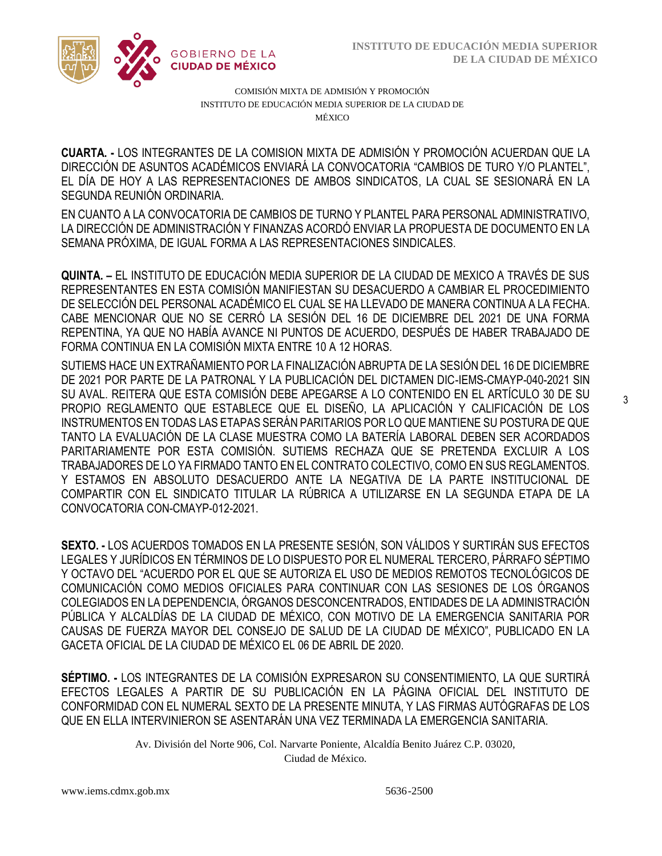

DIRECCIÓN DE ASUNTOS ACADÉMICOS ENVIARÁ LA CONVOCATORIA "CAMBIOS DE TURO Y/O PLANTEL",  SEGUNDA REUNIÓN ORDINARIA. **CUARTA. -** LOS INTEGRANTES DE LA COMISION MIXTA DE ADMISIÓN Y PROMOCIÓN ACUERDAN QUE LA EL DÍA DE HOY A LAS REPRESENTACIONES DE AMBOS SINDICATOS, LA CUAL SE SESIONARÁ EN LA

EN CUANTO A LA CONVOCATORIA DE CAMBIOS DE TURNO Y PLANTEL PARA PERSONAL ADMINISTRATIVO, LA DIRECCIÓN DE ADMINISTRACIÓN Y FINANZAS ACORDÓ ENVIAR LA PROPUESTA DE DOCUMENTO EN LA SEMANA PRÓXIMA, DE IGUAL FORMA A LAS REPRESENTACIONES SINDICALES.

**QUINTA. –** EL INSTITUTO DE EDUCACIÓN MEDIA SUPERIOR DE LA CIUDAD DE MEXICO A TRAVÉS DE SUS REPRESENTANTES EN ESTA COMISIÓN MANIFIESTAN SU DESACUERDO A CAMBIAR EL PROCEDIMIENTO DE SELECCIÓN DEL PERSONAL ACADÉMICO EL CUAL SE HA LLEVADO DE MANERA CONTINUA A LA FECHA. CABE MENCIONAR QUE NO SE CERRÓ LA SESIÓN DEL 16 DE DICIEMBRE DEL 2021 DE UNA FORMA REPENTINA, YA QUE NO HABÍA AVANCE NI PUNTOS DE ACUERDO, DESPUÉS DE HABER TRABAJADO DE FORMA CONTINUA EN LA COMISIÓN MIXTA ENTRE 10 A 12 HORAS.

SUTIEMS HACE UN EXTRAÑAMIENTO POR LA FINALIZACIÓN ABRUPTA DE LA SESIÓN DEL 16 DE DICIEMBRE DE 2021 POR PARTE DE LA PATRONAL Y LA PUBLICACIÓN DEL DICTAMEN DIC-IEMS-CMAYP-040-2021 SIN SU AVAL. REITERA QUE ESTA COMISIÓN DEBE APEGARSE A LO CONTENIDO EN EL ARTÍCULO 30 DE SU PROPIO REGLAMENTO QUE ESTABLECE QUE EL DISEÑO, LA APLICACIÓN Y CALIFICACIÓN DE LOS INSTRUMENTOS EN TODAS LAS ETAPAS SERÁN PARITARIOS POR LO QUE MANTIENE SU POSTURA DE QUE TANTO LA EVALUACIÓN DE LA CLASE MUESTRA COMO LA BATERÍA LABORAL DEBEN SER ACORDADOS PARITARIAMENTE POR ESTA COMISIÓN. SUTIEMS RECHAZA QUE SE PRETENDA EXCLUIR A LOS TRABAJADORES DE LO YA FIRMADO TANTO EN EL CONTRATO COLECTIVO, COMO EN SUS REGLAMENTOS. Y ESTAMOS EN ABSOLUTO DESACUERDO ANTE LA NEGATIVA DE LA PARTE INSTITUCIONAL DE COMPARTIR CON EL SINDICATO TITULAR LA RÚBRICA A UTILIZARSE EN LA SEGUNDA ETAPA DE LA CONVOCATORIA CON-CMAYP-012-2021.

**SEXTO. -** LOS ACUERDOS TOMADOS EN LA PRESENTE SESIÓN, SON VÁLIDOS Y SURTIRÁN SUS EFECTOS LEGALES Y JURÍDICOS EN TÉRMINOS DE LO DISPUESTO POR EL NUMERAL TERCERO, PÁRRAFO SÉPTIMO Y OCTAVO DEL "ACUERDO POR EL QUE SE AUTORIZA EL USO DE MEDIOS REMOTOS TECNOLÓGICOS DE COMUNICACIÓN COMO MEDIOS OFICIALES PARA CONTINUAR CON LAS SESIONES DE LOS ÓRGANOS COLEGIADOS EN LA DEPENDENCIA, ÓRGANOS DESCONCENTRADOS, ENTIDADES DE LA ADMINISTRACIÓN PÚBLICA Y ALCALDÍAS DE LA CIUDAD DE MÉXICO, CON MOTIVO DE LA EMERGENCIA SANITARIA POR CAUSAS DE FUERZA MAYOR DEL CONSEJO DE SALUD DE LA CIUDAD DE MÉXICO", PUBLICADO EN LA GACETA OFICIAL DE LA CIUDAD DE MÉXICO EL 06 DE ABRIL DE 2020.

**SÉPTIMO. -** LOS INTEGRANTES DE LA COMISIÓN EXPRESARON SU CONSENTIMIENTO, LA QUE SURTIRÁ EFECTOS LEGALES A PARTIR DE SU PUBLICACIÓN EN LA PÁGINA OFICIAL DEL INSTITUTO DE CONFORMIDAD CON EL NUMERAL SEXTO DE LA PRESENTE MINUTA, Y LAS FIRMAS AUTÓGRAFAS DE LOS QUE EN ELLA INTERVINIERON SE ASENTARÁN UNA VEZ TERMINADA LA EMERGENCIA SANITARIA.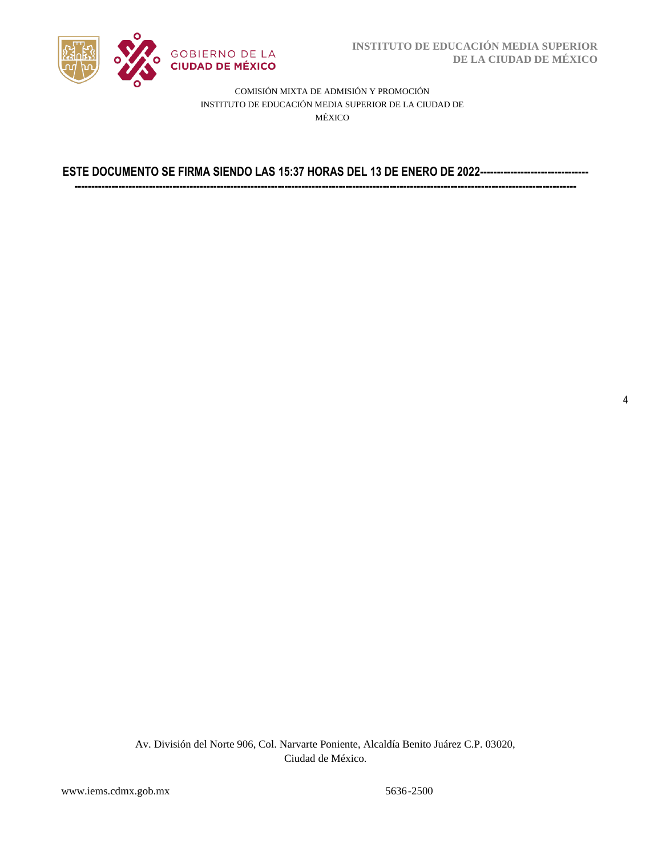

#### COMISIÓN MIXTA DE ADMISIÓN Y PROMOCIÓN INSTITUTO DE EDUCACIÓN MEDIA SUPERIOR DE LA CIUDAD DE MÉXICO

**ESTE DOCUMENTO SE FIRMA SIENDO LAS 15:37 HORAS DEL 13 DE ENERO DE 2022---------------------------------------------------------------------------------------------------------------------------------------------------------------------------------**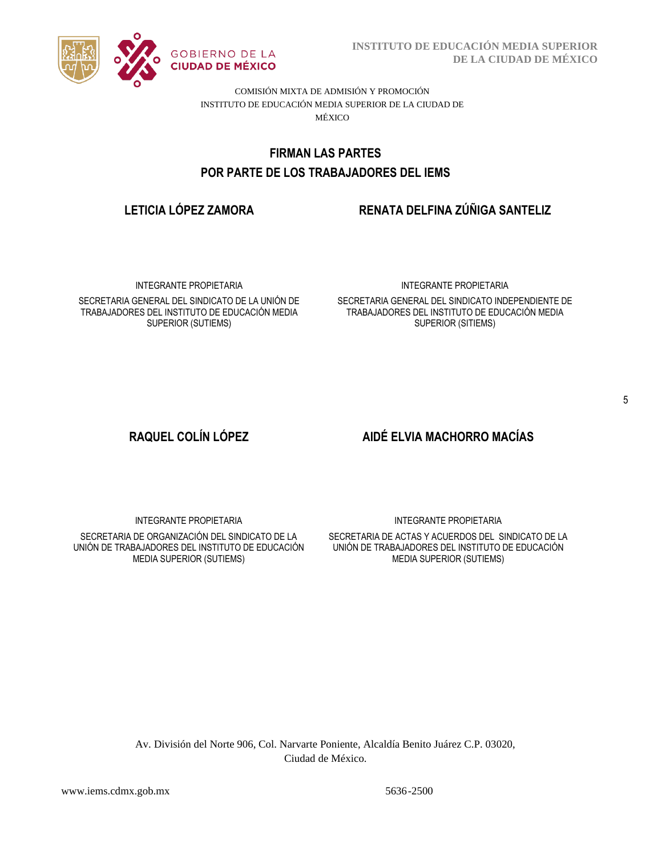

# POR PARTE DE LOS TRABAJADORES DEL IEMS **FIRMAN LAS PARTES**

# **LETICIA LÓPEZ ZAMORA RENATA DELFINA ZÚÑIGA SANTELIZ**

INTEGRANTE PROPIETARIA SECRETARIA GENERAL DEL SINDICATO DE LA UNIÓN DE TRABAJADORES DEL INSTITUTO DE EDUCACIÓN MEDIA SUPERIOR (SUTIEMS)

#### INTEGRANTE PROPIETARIA

SECRETARIA GENERAL DEL SINDICATO INDEPENDIENTE DE TRABAJADORES DEL INSTITUTO DE EDUCACIÓN MEDIA SUPERIOR (SITIEMS)

# **RAQUEL COLÍN LÓPEZ AIDÉ ELVIA MACHORRO MACÍAS**

INTEGRANTE PROPIETARIA

SECRETARIA DE ORGANIZACIÓN DEL SINDICATO DE LA UNIÓN DE TRABAJADORES DEL INSTITUTO DE EDUCACIÓN MEDIA SUPERIOR (SUTIEMS)

INTEGRANTE PROPIETARIA

SECRETARIA DE ACTAS Y ACUERDOS DEL SINDICATO DE LA UNIÓN DE TRABAJADORES DEL INSTITUTO DE EDUCACIÓN MEDIA SUPERIOR (SUTIEMS)